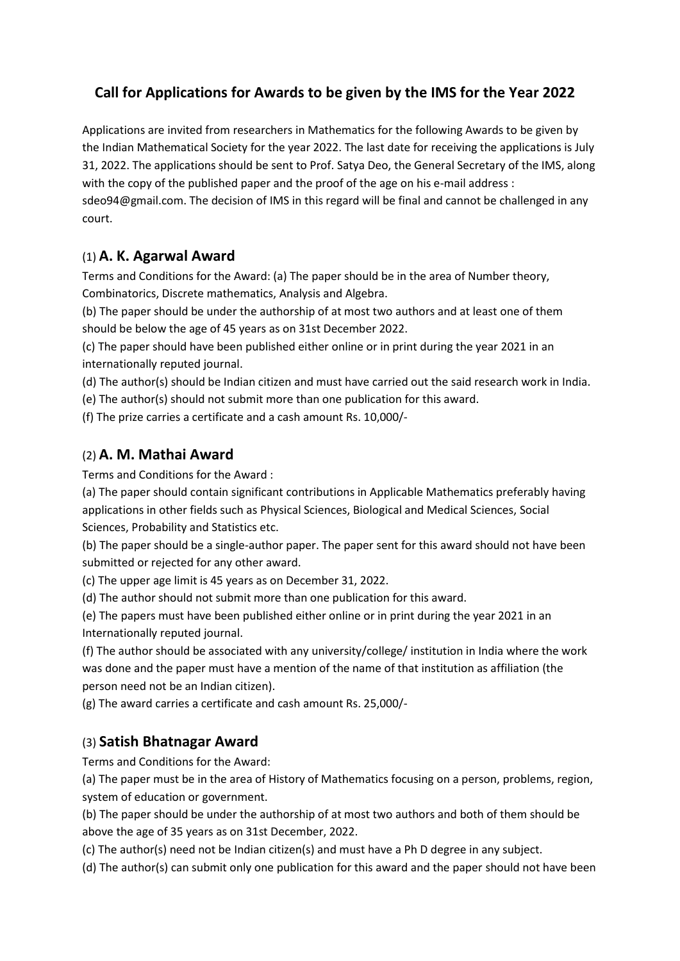# **Call for Applications for Awards to be given by the IMS for the Year 2022**

Applications are invited from researchers in Mathematics for the following Awards to be given by the Indian Mathematical Society for the year 2022. The last date for receiving the applications is July 31, 2022. The applications should be sent to Prof. Satya Deo, the General Secretary of the IMS, along with the copy of the published paper and the proof of the age on his e-mail address : sdeo94@gmail.com. The decision of IMS in this regard will be final and cannot be challenged in any court.

#### (1) **A. K. Agarwal Award**

Terms and Conditions for the Award: (a) The paper should be in the area of Number theory, Combinatorics, Discrete mathematics, Analysis and Algebra.

(b) The paper should be under the authorship of at most two authors and at least one of them should be below the age of 45 years as on 31st December 2022.

(c) The paper should have been published either online or in print during the year 2021 in an internationally reputed journal.

(d) The author(s) should be Indian citizen and must have carried out the said research work in India.

(e) The author(s) should not submit more than one publication for this award.

(f) The prize carries a certificate and a cash amount Rs. 10,000/-

#### (2) **A. M. Mathai Award**

Terms and Conditions for the Award :

(a) The paper should contain significant contributions in Applicable Mathematics preferably having applications in other fields such as Physical Sciences, Biological and Medical Sciences, Social Sciences, Probability and Statistics etc.

(b) The paper should be a single-author paper. The paper sent for this award should not have been submitted or rejected for any other award.

(c) The upper age limit is 45 years as on December 31, 2022.

(d) The author should not submit more than one publication for this award.

(e) The papers must have been published either online or in print during the year 2021 in an Internationally reputed journal.

(f) The author should be associated with any university/college/ institution in India where the work was done and the paper must have a mention of the name of that institution as affiliation (the person need not be an Indian citizen).

(g) The award carries a certificate and cash amount Rs. 25,000/-

### (3) **Satish Bhatnagar Award**

Terms and Conditions for the Award:

(a) The paper must be in the area of History of Mathematics focusing on a person, problems, region, system of education or government.

(b) The paper should be under the authorship of at most two authors and both of them should be above the age of 35 years as on 31st December, 2022.

(c) The author(s) need not be Indian citizen(s) and must have a Ph D degree in any subject.

(d) The author(s) can submit only one publication for this award and the paper should not have been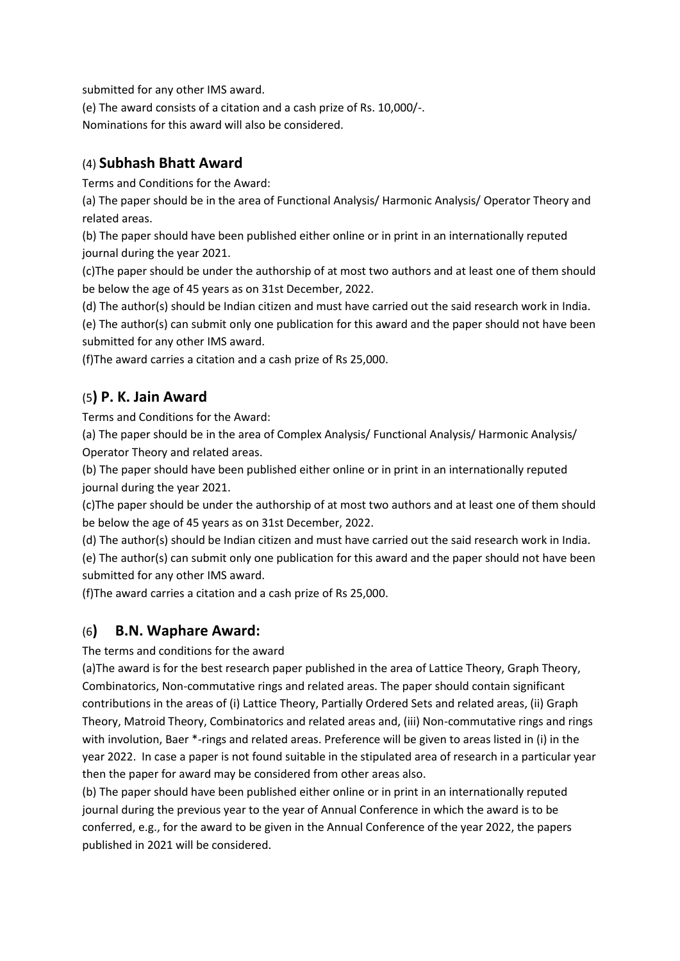submitted for any other IMS award.

(e) The award consists of a citation and a cash prize of Rs. 10,000/-. Nominations for this award will also be considered.

### (4) **Subhash Bhatt Award**

Terms and Conditions for the Award:

(a) The paper should be in the area of Functional Analysis/ Harmonic Analysis/ Operator Theory and related areas.

(b) The paper should have been published either online or in print in an internationally reputed journal during the year 2021.

(c)The paper should be under the authorship of at most two authors and at least one of them should be below the age of 45 years as on 31st December, 2022.

(d) The author(s) should be Indian citizen and must have carried out the said research work in India.

(e) The author(s) can submit only one publication for this award and the paper should not have been submitted for any other IMS award.

(f)The award carries a citation and a cash prize of Rs 25,000.

## (5**) P. K. Jain Award**

Terms and Conditions for the Award:

(a) The paper should be in the area of Complex Analysis/ Functional Analysis/ Harmonic Analysis/ Operator Theory and related areas.

(b) The paper should have been published either online or in print in an internationally reputed journal during the year 2021.

(c)The paper should be under the authorship of at most two authors and at least one of them should be below the age of 45 years as on 31st December, 2022.

(d) The author(s) should be Indian citizen and must have carried out the said research work in India.

(e) The author(s) can submit only one publication for this award and the paper should not have been submitted for any other IMS award.

(f)The award carries a citation and a cash prize of Rs 25,000.

## (6**) B.N. Waphare Award:**

The terms and conditions for the award

(a)The award is for the best research paper published in the area of Lattice Theory, Graph Theory, Combinatorics, Non-commutative rings and related areas. The paper should contain significant contributions in the areas of (i) Lattice Theory, Partially Ordered Sets and related areas, (ii) Graph Theory, Matroid Theory, Combinatorics and related areas and, (iii) Non-commutative rings and rings with involution, Baer \*-rings and related areas. Preference will be given to areas listed in (i) in the year 2022. In case a paper is not found suitable in the stipulated area of research in a particular year then the paper for award may be considered from other areas also.

(b) The paper should have been published either online or in print in an internationally reputed journal during the previous year to the year of Annual Conference in which the award is to be conferred, e.g., for the award to be given in the Annual Conference of the year 2022, the papers published in 2021 will be considered.